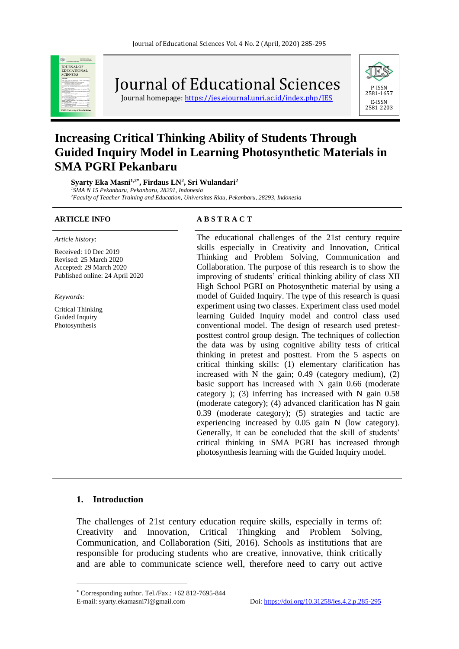

Journal of Educational Sciences

Journal homepage:<https://jes.ejournal.unri.ac.id/index.php/JES>



# **Increasing Critical Thinking Ability of Students Through Guided Inquiry Model in Learning Photosynthetic Materials in SMA PGRI Pekanbaru**

**Syarty Eka Masni1,2\* , Firdaus LN<sup>2</sup> , Sri Wulandari<sup>2</sup>** *<sup>1</sup>SMA N 15 Pekanbaru, Pekanbaru, 28291, Indonesia*

*<sup>2</sup>Faculty of Teacher Training and Education, Universitas Riau, Pekanbaru, 28293, Indonesia*

*Article history*:

Received: 10 Dec 2019 Revised: 25 March 2020 Accepted: 29 March 2020 Published online: 24 April 2020

*Keywords:*

Critical Thinking Guided Inquiry Photosynthesis

#### **ARTICLE INFO A B S T R A C T**

The educational challenges of the 21st century require skills especially in Creativity and Innovation, Critical Thinking and Problem Solving, Communication and Collaboration. The purpose of this research is to show the improving of students' critical thinking ability of class XII High School PGRI on Photosynthetic material by using a model of Guided Inquiry. The type of this research is quasi experiment using two classes. Experiment class used model learning Guided Inquiry model and control class used conventional model. The design of research used pretestposttest control group design. The techniques of collection the data was by using cognitive ability tests of critical thinking in pretest and posttest. From the 5 aspects on critical thinking skills: (1) elementary clarification has increased with N the gain; 0.49 (category medium), (2) basic support has increased with N gain 0.66 (moderate category ); (3) inferring has increased with N gain 0.58 (moderate category); (4) advanced clarification has N gain 0.39 (moderate category); (5) strategies and tactic are experiencing increased by 0.05 gain N (low category). Generally, it can be concluded that the skill of students' critical thinking in SMA PGRI has increased through photosynthesis learning with the Guided Inquiry model.

#### **1. Introduction**

The challenges of 21st century education require skills, especially in terms of: Creativity and Innovation, Critical Thingking and Problem Solving, Communication, and Collaboration (Siti, 2016). Schools as institutions that are responsible for producing students who are creative, innovative, think critically and are able to communicate science well, therefore need to carry out active

Corresponding author. Tel./Fax.: +62 812-7695-844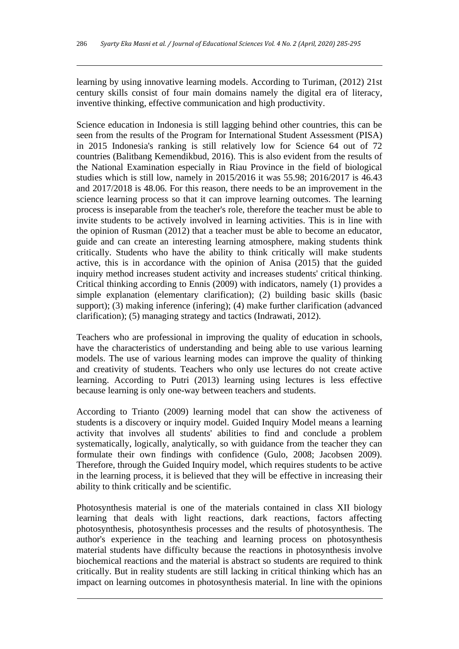learning by using innovative learning models. According to Turiman, (2012) 21st century skills consist of four main domains namely the digital era of literacy, inventive thinking, effective communication and high productivity.

Science education in Indonesia is still lagging behind other countries, this can be seen from the results of the Program for International Student Assessment (PISA) in 2015 Indonesia's ranking is still relatively low for Science 64 out of 72 countries (Balitbang Kemendikbud, 2016). This is also evident from the results of the National Examination especially in Riau Province in the field of biological studies which is still low, namely in 2015/2016 it was 55.98; 2016/2017 is 46.43 and 2017/2018 is 48.06. For this reason, there needs to be an improvement in the science learning process so that it can improve learning outcomes. The learning process is inseparable from the teacher's role, therefore the teacher must be able to invite students to be actively involved in learning activities. This is in line with the opinion of Rusman (2012) that a teacher must be able to become an educator, guide and can create an interesting learning atmosphere, making students think critically. Students who have the ability to think critically will make students active, this is in accordance with the opinion of Anisa (2015) that the guided inquiry method increases student activity and increases students' critical thinking. Critical thinking according to Ennis (2009) with indicators, namely (1) provides a simple explanation (elementary clarification); (2) building basic skills (basic support); (3) making inference (infering); (4) make further clarification (advanced clarification); (5) managing strategy and tactics (Indrawati, 2012).

Teachers who are professional in improving the quality of education in schools, have the characteristics of understanding and being able to use various learning models. The use of various learning modes can improve the quality of thinking and creativity of students. Teachers who only use lectures do not create active learning. According to Putri (2013) learning using lectures is less effective because learning is only one-way between teachers and students.

According to Trianto (2009) learning model that can show the activeness of students is a discovery or inquiry model. Guided Inquiry Model means a learning activity that involves all students' abilities to find and conclude a problem systematically, logically, analytically, so with guidance from the teacher they can formulate their own findings with confidence (Gulo, 2008; Jacobsen 2009). Therefore, through the Guided Inquiry model, which requires students to be active in the learning process, it is believed that they will be effective in increasing their ability to think critically and be scientific.

Photosynthesis material is one of the materials contained in class XII biology learning that deals with light reactions, dark reactions, factors affecting photosynthesis, photosynthesis processes and the results of photosynthesis. The author's experience in the teaching and learning process on photosynthesis material students have difficulty because the reactions in photosynthesis involve biochemical reactions and the material is abstract so students are required to think critically. But in reality students are still lacking in critical thinking which has an impact on learning outcomes in photosynthesis material. In line with the opinions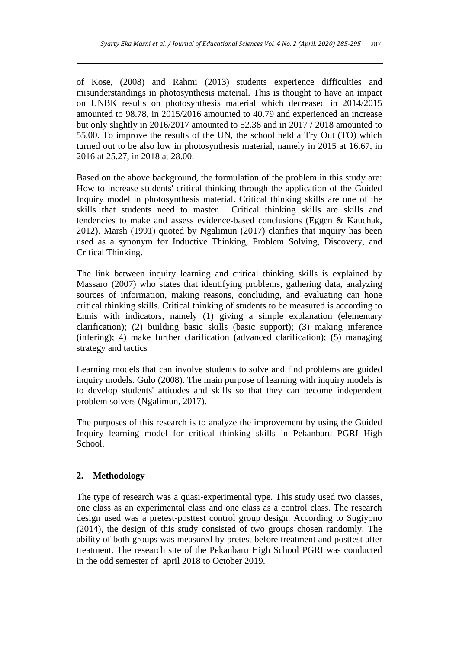of Kose, (2008) and Rahmi (2013) students experience difficulties and misunderstandings in photosynthesis material. This is thought to have an impact on UNBK results on photosynthesis material which decreased in 2014/2015 amounted to 98.78, in 2015/2016 amounted to 40.79 and experienced an increase but only slightly in 2016/2017 amounted to 52.38 and in 2017 / 2018 amounted to 55.00. To improve the results of the UN, the school held a Try Out (TO) which turned out to be also low in photosynthesis material, namely in 2015 at 16.67, in 2016 at 25.27, in 2018 at 28.00.

Based on the above background, the formulation of the problem in this study are: How to increase students' critical thinking through the application of the Guided Inquiry model in photosynthesis material. Critical thinking skills are one of the skills that students need to master. Critical thinking skills are skills and tendencies to make and assess evidence-based conclusions (Eggen & Kauchak, 2012). Marsh (1991) quoted by Ngalimun (2017) clarifies that inquiry has been used as a synonym for Inductive Thinking, Problem Solving, Discovery, and Critical Thinking.

The link between inquiry learning and critical thinking skills is explained by Massaro (2007) who states that identifying problems, gathering data, analyzing sources of information, making reasons, concluding, and evaluating can hone critical thinking skills. Critical thinking of students to be measured is according to Ennis with indicators, namely (1) giving a simple explanation (elementary clarification); (2) building basic skills (basic support); (3) making inference (infering); 4) make further clarification (advanced clarification); (5) managing strategy and tactics

Learning models that can involve students to solve and find problems are guided inquiry models. Gulo (2008). The main purpose of learning with inquiry models is to develop students' attitudes and skills so that they can become independent problem solvers (Ngalimun, 2017).

The purposes of this research is to analyze the improvement by using the Guided Inquiry learning model for critical thinking skills in Pekanbaru PGRI High School.

# **2. Methodology**

The type of research was a quasi-experimental type. This study used two classes, one class as an experimental class and one class as a control class. The research design used was a pretest-posttest control group design. According to Sugiyono (2014), the design of this study consisted of two groups chosen randomly. The ability of both groups was measured by pretest before treatment and posttest after treatment. The research site of the Pekanbaru High School PGRI was conducted in the odd semester of april 2018 to October 2019.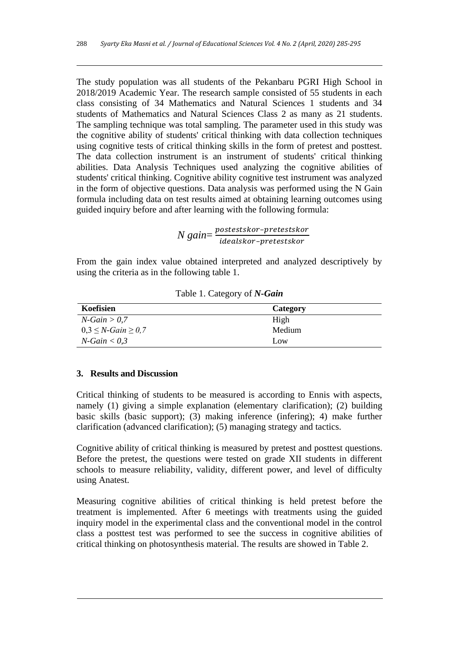The study population was all students of the Pekanbaru PGRI High School in 2018/2019 Academic Year. The research sample consisted of 55 students in each class consisting of 34 Mathematics and Natural Sciences 1 students and 34 students of Mathematics and Natural Sciences Class 2 as many as 21 students. The sampling technique was total sampling. The parameter used in this study was the cognitive ability of students' critical thinking with data collection techniques using cognitive tests of critical thinking skills in the form of pretest and posttest. The data collection instrument is an instrument of students' critical thinking abilities. Data Analysis Techniques used analyzing the cognitive abilities of students' critical thinking. Cognitive ability cognitive test instrument was analyzed in the form of objective questions. Data analysis was performed using the N Gain formula including data on test results aimed at obtaining learning outcomes using guided inquiry before and after learning with the following formula:

> *N* gain=  $\frac{postestskor-pretestskor}{idealalsym, metestskor}$ idealskor-pretestskor

From the gain index value obtained interpreted and analyzed descriptively by using the criteria as in the following table 1.

| Koefisien                        | Category |  |  |  |  |
|----------------------------------|----------|--|--|--|--|
| $N$ -Gain > 0,7                  | High     |  |  |  |  |
| $0,3 \leq N \cdot Gain \geq 0,7$ | Medium   |  |  |  |  |
| $N$ -Gain $< 0.3$                | Low      |  |  |  |  |

Table 1. Category of *N-Gain*

# **3. Results and Discussion**

Critical thinking of students to be measured is according to Ennis with aspects, namely (1) giving a simple explanation (elementary clarification); (2) building basic skills (basic support); (3) making inference (infering); 4) make further clarification (advanced clarification); (5) managing strategy and tactics.

Cognitive ability of critical thinking is measured by pretest and posttest questions. Before the pretest, the questions were tested on grade XII students in different schools to measure reliability, validity, different power, and level of difficulty using Anatest.

Measuring cognitive abilities of critical thinking is held pretest before the treatment is implemented. After 6 meetings with treatments using the guided inquiry model in the experimental class and the conventional model in the control class a posttest test was performed to see the success in cognitive abilities of critical thinking on photosynthesis material. The results are showed in Table 2.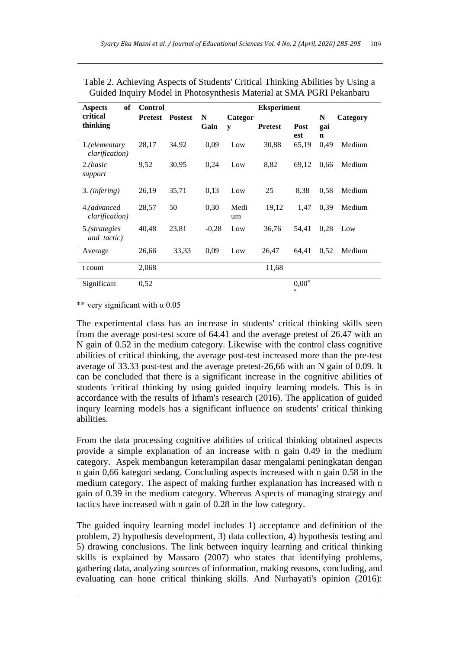| of<br><b>Aspects</b>            | <b>Control</b> |                |           |              | <b>Eksperiment</b> |                           |                         |          |
|---------------------------------|----------------|----------------|-----------|--------------|--------------------|---------------------------|-------------------------|----------|
| critical<br>thinking            | <b>Pretest</b> | <b>Postest</b> | N<br>Gain | Categor<br>y | <b>Pretest</b>     | Post<br>est               | N<br>gai<br>$\mathbf n$ | Category |
| 1.(elementary<br>clarification) | 28,17          | 34,92          | 0,09      | Low          | 30,88              | 65,19                     | 0,49                    | Medium   |
| 2. (basic<br>support            | 9,52           | 30,95          | 0,24      | Low          | 8,82               | 69,12                     | 0.66                    | Medium   |
| 3. ( <i>infering</i> )          | 26,19          | 35,71          | 0,13      | Low          | 25                 | 8,38                      | 0,58                    | Medium   |
| 4.(advanced<br>clarification)   | 28,57          | 50             | 0,30      | Medi<br>um   | 19,12              | 1,47                      | 0,39                    | Medium   |
| 5.(strategies<br>and tactic)    | 40,48          | 23,81          | $-0.28$   | Low          | 36,76              | 54,41                     | 0,28                    | Low      |
| Average                         | 26,66          | 33,33          | 0,09      | Low          | 26,47              | 64,41                     | 0,52                    | Medium   |
| t count                         | 2,068          |                |           |              | 11,68              |                           |                         |          |
| Significant                     | 0,52           |                |           |              |                    | $0,00^*$<br>$\frac{1}{2}$ |                         |          |

Table 2. Achieving Aspects of Students' Critical Thinking Abilities by Using a Guided Inquiry Model in Photosynthesis Material at SMA PGRI Pekanbaru

\*\* very significant with  $\alpha$  0.05

The experimental class has an increase in students' critical thinking skills seen from the average post-test score of 64.41 and the average pretest of 26.47 with an N gain of 0.52 in the medium category. Likewise with the control class cognitive abilities of critical thinking, the average post-test increased more than the pre-test average of 33.33 post-test and the average pretest-26,66 with an N gain of 0.09. It can be concluded that there is a significant increase in the cognitive abilities of students 'critical thinking by using guided inquiry learning models. This is in accordance with the results of Irham's research (2016). The application of guided inqury learning models has a significant influence on students' critical thinking abilities.

From the data processing cognitive abilities of critical thinking obtained aspects provide a simple explanation of an increase with n gain 0.49 in the medium category. Aspek membangun keterampilan dasar mengalami peningkatan dengan n gain 0,66 kategori sedang. Concluding aspects increased with n gain 0.58 in the medium category. The aspect of making further explanation has increased with n gain of 0.39 in the medium category. Whereas Aspects of managing strategy and tactics have increased with n gain of 0.28 in the low category.

The guided inquiry learning model includes 1) acceptance and definition of the problem, 2) hypothesis development, 3) data collection, 4) hypothesis testing and 5) drawing conclusions. The link between inquiry learning and critical thinking skills is explained by Massaro (2007) who states that identifying problems, gathering data, analyzing sources of information, making reasons, concluding, and evaluating can hone critical thinking skills. And Nurhayati's opinion (2016):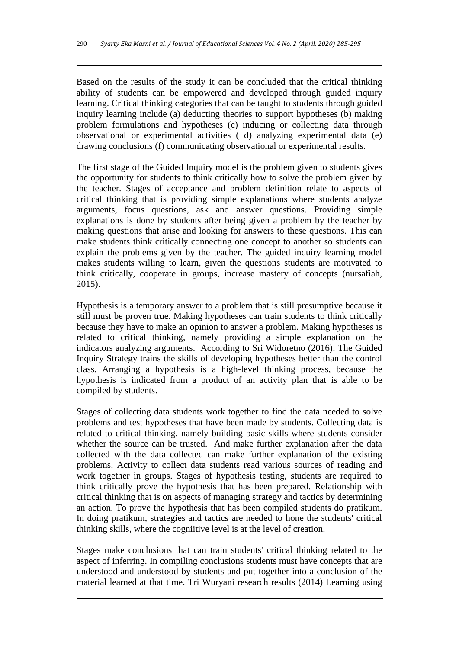Based on the results of the study it can be concluded that the critical thinking ability of students can be empowered and developed through guided inquiry learning. Critical thinking categories that can be taught to students through guided inquiry learning include (a) deducting theories to support hypotheses (b) making problem formulations and hypotheses (c) inducing or collecting data through observational or experimental activities ( d) analyzing experimental data (e) drawing conclusions (f) communicating observational or experimental results.

The first stage of the Guided Inquiry model is the problem given to students gives the opportunity for students to think critically how to solve the problem given by the teacher. Stages of acceptance and problem definition relate to aspects of critical thinking that is providing simple explanations where students analyze arguments, focus questions, ask and answer questions. Providing simple explanations is done by students after being given a problem by the teacher by making questions that arise and looking for answers to these questions. This can make students think critically connecting one concept to another so students can explain the problems given by the teacher. The guided inquiry learning model makes students willing to learn, given the questions students are motivated to think critically, cooperate in groups, increase mastery of concepts (nursafiah, 2015).

Hypothesis is a temporary answer to a problem that is still presumptive because it still must be proven true. Making hypotheses can train students to think critically because they have to make an opinion to answer a problem. Making hypotheses is related to critical thinking, namely providing a simple explanation on the indicators analyzing arguments. According to Sri Widoretno (2016): The Guided Inquiry Strategy trains the skills of developing hypotheses better than the control class. Arranging a hypothesis is a high-level thinking process, because the hypothesis is indicated from a product of an activity plan that is able to be compiled by students.

Stages of collecting data students work together to find the data needed to solve problems and test hypotheses that have been made by students. Collecting data is related to critical thinking, namely building basic skills where students consider whether the source can be trusted. And make further explanation after the data collected with the data collected can make further explanation of the existing problems. Activity to collect data students read various sources of reading and work together in groups. Stages of hypothesis testing, students are required to think critically prove the hypothesis that has been prepared. Relationship with critical thinking that is on aspects of managing strategy and tactics by determining an action. To prove the hypothesis that has been compiled students do pratikum. In doing pratikum, strategies and tactics are needed to hone the students' critical thinking skills, where the cogniitive level is at the level of creation.

Stages make conclusions that can train students' critical thinking related to the aspect of inferring. In compiling conclusions students must have concepts that are understood and understood by students and put together into a conclusion of the material learned at that time. Tri Wuryani research results (2014) Learning using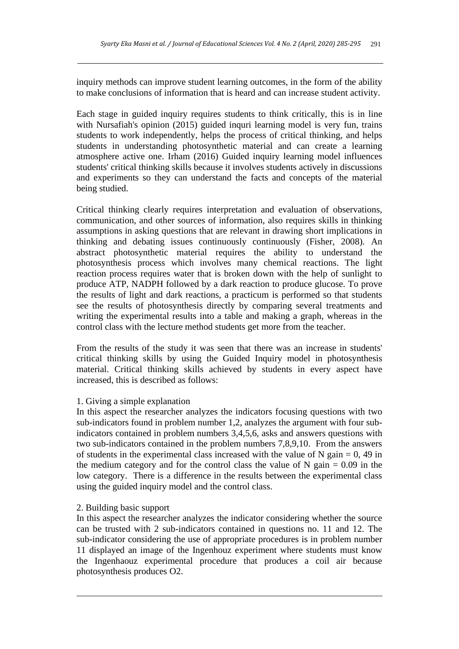inquiry methods can improve student learning outcomes, in the form of the ability to make conclusions of information that is heard and can increase student activity.

Each stage in guided inquiry requires students to think critically, this is in line with Nursafiah's opinion (2015) guided inquri learning model is very fun, trains students to work independently, helps the process of critical thinking, and helps students in understanding photosynthetic material and can create a learning atmosphere active one. Irham (2016) Guided inquiry learning model influences students' critical thinking skills because it involves students actively in discussions and experiments so they can understand the facts and concepts of the material being studied.

Critical thinking clearly requires interpretation and evaluation of observations, communication, and other sources of information, also requires skills in thinking assumptions in asking questions that are relevant in drawing short implications in thinking and debating issues continuously continuously (Fisher, 2008). An abstract photosynthetic material requires the ability to understand the photosynthesis process which involves many chemical reactions. The light reaction process requires water that is broken down with the help of sunlight to produce ATP, NADPH followed by a dark reaction to produce glucose. To prove the results of light and dark reactions, a practicum is performed so that students see the results of photosynthesis directly by comparing several treatments and writing the experimental results into a table and making a graph, whereas in the control class with the lecture method students get more from the teacher.

From the results of the study it was seen that there was an increase in students' critical thinking skills by using the Guided Inquiry model in photosynthesis material. Critical thinking skills achieved by students in every aspect have increased, this is described as follows:

# 1. Giving a simple explanation

In this aspect the researcher analyzes the indicators focusing questions with two sub-indicators found in problem number 1,2, analyzes the argument with four subindicators contained in problem numbers 3,4,5,6, asks and answers questions with two sub-indicators contained in the problem numbers 7,8,9,10. From the answers of students in the experimental class increased with the value of N gain  $= 0$ , 49 in the medium category and for the control class the value of N gain  $= 0.09$  in the low category. There is a difference in the results between the experimental class using the guided inquiry model and the control class.

### 2. Building basic support

In this aspect the researcher analyzes the indicator considering whether the source can be trusted with 2 sub-indicators contained in questions no. 11 and 12. The sub-indicator considering the use of appropriate procedures is in problem number 11 displayed an image of the Ingenhouz experiment where students must know the Ingenhaouz experimental procedure that produces a coil air because photosynthesis produces O2.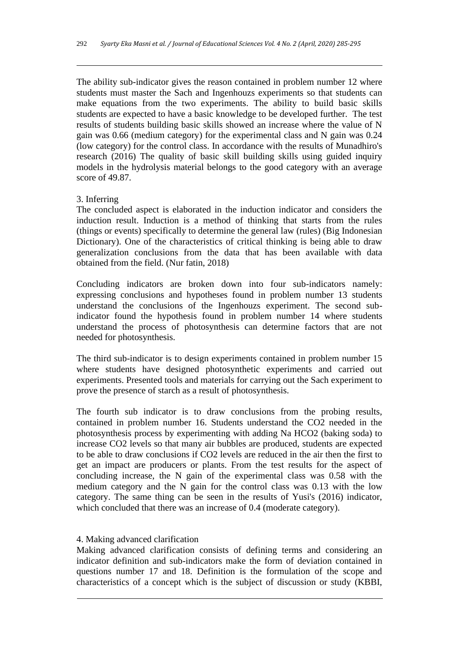The ability sub-indicator gives the reason contained in problem number 12 where students must master the Sach and Ingenhouzs experiments so that students can make equations from the two experiments. The ability to build basic skills students are expected to have a basic knowledge to be developed further. The test results of students building basic skills showed an increase where the value of N gain was 0.66 (medium category) for the experimental class and N gain was 0.24 (low category) for the control class. In accordance with the results of Munadhiro's research (2016) The quality of basic skill building skills using guided inquiry models in the hydrolysis material belongs to the good category with an average score of 49.87.

## 3. Inferring

The concluded aspect is elaborated in the induction indicator and considers the induction result. Induction is a method of thinking that starts from the rules (things or events) specifically to determine the general law (rules) (Big Indonesian Dictionary). One of the characteristics of critical thinking is being able to draw generalization conclusions from the data that has been available with data obtained from the field. (Nur fatin, 2018)

Concluding indicators are broken down into four sub-indicators namely: expressing conclusions and hypotheses found in problem number 13 students understand the conclusions of the Ingenhouzs experiment. The second subindicator found the hypothesis found in problem number 14 where students understand the process of photosynthesis can determine factors that are not needed for photosynthesis.

The third sub-indicator is to design experiments contained in problem number 15 where students have designed photosynthetic experiments and carried out experiments. Presented tools and materials for carrying out the Sach experiment to prove the presence of starch as a result of photosynthesis.

The fourth sub indicator is to draw conclusions from the probing results, contained in problem number 16. Students understand the CO2 needed in the photosynthesis process by experimenting with adding Na HCO2 (baking soda) to increase CO2 levels so that many air bubbles are produced, students are expected to be able to draw conclusions if CO2 levels are reduced in the air then the first to get an impact are producers or plants. From the test results for the aspect of concluding increase, the N gain of the experimental class was 0.58 with the medium category and the N gain for the control class was 0.13 with the low category. The same thing can be seen in the results of Yusi's (2016) indicator, which concluded that there was an increase of 0.4 (moderate category).

### 4. Making advanced clarification

Making advanced clarification consists of defining terms and considering an indicator definition and sub-indicators make the form of deviation contained in questions number 17 and 18. Definition is the formulation of the scope and characteristics of a concept which is the subject of discussion or study (KBBI,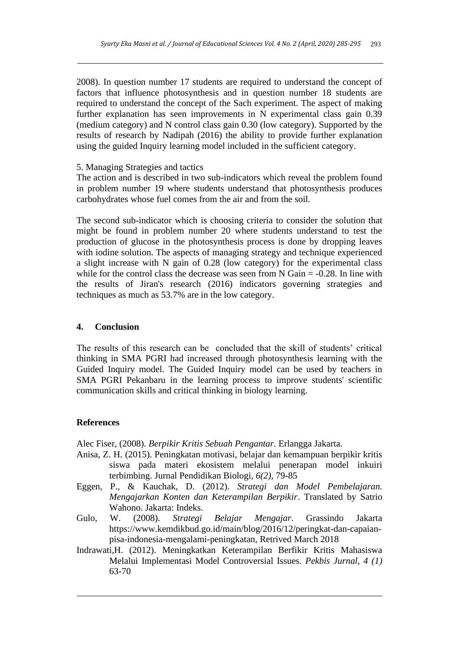2008). In question number 17 students are required to understand the concept of factors that influence photosynthesis and in question number 18 students are required to understand the concept of the Sach experiment. The aspect of making further explanation has seen improvements in N experimental class gain 0.39 (medium category) and N control class gain 0.30 (low category). Supported by the results of research by Nadipah (2016) the ability to provide further explanation using the guided Inquiry learning model included in the sufficient category.

# 5. Managing Strategies and tactics

The action and is described in two sub-indicators which reveal the problem found in problem number 19 where students understand that photosynthesis produces carbohydrates whose fuel comes from the air and from the soil.

The second sub-indicator which is choosing criteria to consider the solution that might be found in problem number 20 where students understand to test the production of glucose in the photosynthesis process is done by dropping leaves with iodine solution. The aspects of managing strategy and technique experienced a slight increase with N gain of 0.28 (low category) for the experimental class while for the control class the decrease was seen from  $N$  Gain  $= -0.28$ . In line with the results of Jiran's research (2016) indicators governing strategies and techniques as much as 53.7% are in the low category.

# **4. Conclusion**

The results of this research can be concluded that the skill of students' critical thinking in SMA PGRI had increased through photosynthesis learning with the Guided Inquiry model. The Guided Inquiry model can be used by teachers in SMA PGRI Pekanbaru in the learning process to improve students' scientific communication skills and critical thinking in biology learning.

### **References**

Alec Fiser, (2008). *Berpikir Kritis Sebuah Pengantar.* Erlangga Jakarta.

- Anisa, Z. H. (2015). Peningkatan motivasi, belajar dan kemampuan berpikir kritis siswa pada materi ekosistem melalui penerapan model inkuiri terbimbing. Jurnal Pendidikan Biologi, *6(2),* 79-85
- Eggen, P., & Kauchak, D. (2012). *Strategi dan Model Pembelajaran. Mengajarkan Konten dan Keterampilan Berpikir*. Translated by Satrio Wahono. Jakarta: Indeks.
- Gulo, W. (2008). *Strategi Belajar Mengajar*. Grassindo Jakarta [https://www.kemdikbud.go.id/main/blog/2016/12/peringkat-dan-capaian](https://www.kemdikbud.go.id/main/blog/2016/12/peringkat-dan-capaian-pisa-indonesia-mengalami-peningkatan)[pisa-indonesia-mengalami-peningkatan,](https://www.kemdikbud.go.id/main/blog/2016/12/peringkat-dan-capaian-pisa-indonesia-mengalami-peningkatan) Retrived March 2018
- Indrawati,H. (2012). Meningkatkan Keterampilan Berfikir Kritis Mahasiswa Melalui Implementasi Model Controversial Issues. *Pekbis Jurnal, 4 (1)*  63-70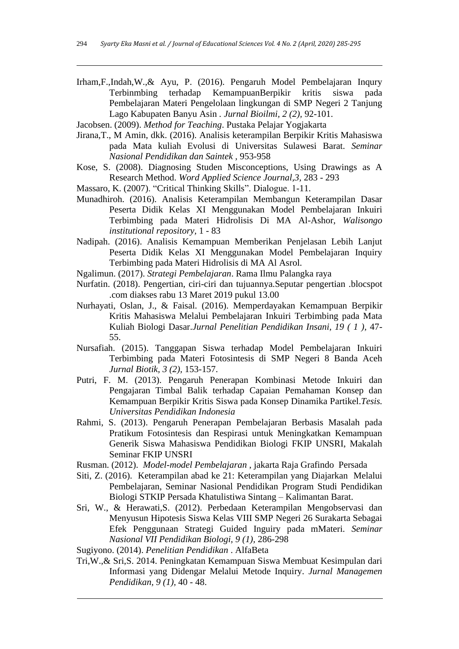Irham,F.,Indah,W.,& Ayu, P. (2016). Pengaruh Model Pembelajaran Inqury Terbinmbing terhadap KemampuanBerpikir kritis siswa pada Pembelajaran Materi Pengelolaan lingkungan di SMP Negeri 2 Tanjung Lago Kabupaten Banyu Asin *. Jurnal Bioilmi, 2 (2),* 92-101.

Jacobsen. (2009). *Method for Teaching*. Pustaka Pelajar Yogjakarta

- Jirana,T., M Amin, dkk. (2016). Analisis keterampilan Berpikir Kritis Mahasiswa pada Mata kuliah Evolusi di Universitas Sulawesi Barat. *Seminar Nasional Pendidikan dan Saintek ,* 953-958
- Kose, S. (2008). Diagnosing Studen Misconceptions, Using Drawings as A Research Method. *Word Applied Science Journal,3,* 283 - 293
- Massaro, K. (2007). "Critical Thinking Skills". Dialogue. 1-11.
- Munadhiroh. (2016). Analisis Keterampilan Membangun Keterampilan Dasar Peserta Didik Kelas XI Menggunakan Model Pembelajaran Inkuiri Terbimbing pada Materi Hidrolisis Di MA Al-Ashor, *Walisongo institutional repository,* 1 - 83
- Nadipah. (2016). Analisis Kemampuan Memberikan Penjelasan Lebih Lanjut Peserta Didik Kelas XI Menggunakan Model Pembelajaran Inquiry Terbimbing pada Materi Hidrolisis di MA Al Asrol.

Ngalimun. (2017). *Strategi Pembelajaran*. Rama Ilmu Palangka raya

- Nurfatin. (2018). Pengertian, ciri-ciri dan tujuannya.Seputar pengertian .blocspot .com diakses rabu 13 Maret 2019 pukul 13.00
- Nurhayati, Oslan, J., & Faisal. (2016). Memperdayakan Kemampuan Berpikir Kritis Mahasiswa Melalui Pembelajaran Inkuiri Terbimbing pada Mata Kuliah Biologi Dasar.*Jurnal Penelitian Pendidikan Insani, 19 ( 1 ),* 47- 55.
- Nursafiah. (2015). Tanggapan Siswa terhadap Model Pembelajaran Inkuiri Terbimbing pada Materi Fotosintesis di SMP Negeri 8 Banda Aceh *Jurnal Biotik, 3 (2),* 153-157.
- Putri, F. M. (2013). Pengaruh Penerapan Kombinasi Metode Inkuiri dan Pengajaran Timbal Balik terhadap Capaian Pemahaman Konsep dan Kemampuan Berpikir Kritis Siswa pada Konsep Dinamika Partikel.*Tesis. Universitas Pendidikan Indonesia*
- Rahmi, S. (2013). Pengaruh Penerapan Pembelajaran Berbasis Masalah pada Pratikum Fotosintesis dan Respirasi untuk Meningkatkan Kemampuan Generik Siswa Mahasiswa Pendidikan Biologi FKIP UNSRI, Makalah Seminar FKIP UNSRI
- Rusman. (2012). *Model-model Pembelajaran* , jakarta Raja Grafindo Persada
- Siti, Z. (2016). Keterampilan abad ke 21: Keterampilan yang Diajarkan Melalui Pembelajaran, Seminar Nasional Pendidikan Program Studi Pendidikan Biologi STKIP Persada Khatulistiwa Sintang – Kalimantan Barat.
- Sri, W., & Herawati,S. (2012). Perbedaan Keterampilan Mengobservasi dan Menyusun Hipotesis Siswa Kelas VIII SMP Negeri 26 Surakarta Sebagai Efek Penggunaan Strategi Guided Inguiry pada mMateri*. Seminar Nasional VII Pendidikan Biologi, 9 (1),* 286-298
- Sugiyono. (2014). *Penelitian Pendidikan* . AlfaBeta
- Tri,W.,& Sri,S. 2014. Peningkatan Kemampuan Siswa Membuat Kesimpulan dari Informasi yang Didengar Melalui Metode Inquiry. *Jurnal Managemen Pendidikan, 9 (1),* 40 - 48.